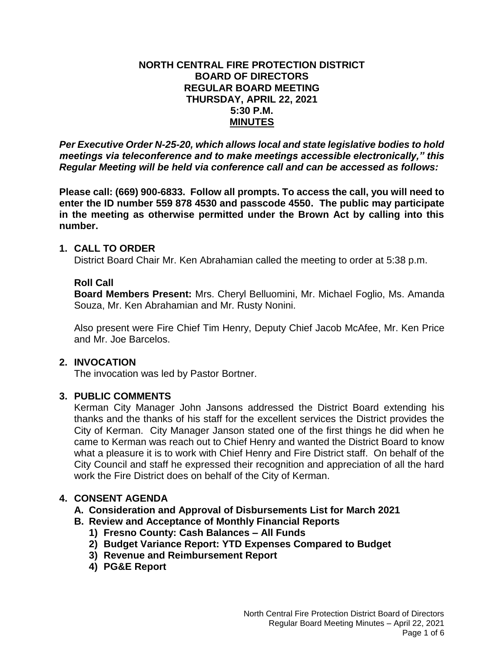# **NORTH CENTRAL FIRE PROTECTION DISTRICT BOARD OF DIRECTORS REGULAR BOARD MEETING THURSDAY, APRIL 22, 2021 5:30 P.M. MINUTES**

*Per Executive Order N-25-20, which allows local and state legislative bodies to hold meetings via teleconference and to make meetings accessible electronically," this Regular Meeting will be held via conference call and can be accessed as follows:*

**Please call: (669) 900-6833. Follow all prompts. To access the call, you will need to enter the ID number 559 878 4530 and passcode 4550. The public may participate in the meeting as otherwise permitted under the Brown Act by calling into this number.** 

# **1. CALL TO ORDER**

District Board Chair Mr. Ken Abrahamian called the meeting to order at 5:38 p.m.

# **Roll Call**

**Board Members Present:** Mrs. Cheryl Belluomini, Mr. Michael Foglio, Ms. Amanda Souza, Mr. Ken Abrahamian and Mr. Rusty Nonini.

Also present were Fire Chief Tim Henry, Deputy Chief Jacob McAfee, Mr. Ken Price and Mr. Joe Barcelos.

# **2. INVOCATION**

The invocation was led by Pastor Bortner.

# **3. PUBLIC COMMENTS**

Kerman City Manager John Jansons addressed the District Board extending his thanks and the thanks of his staff for the excellent services the District provides the City of Kerman. City Manager Janson stated one of the first things he did when he came to Kerman was reach out to Chief Henry and wanted the District Board to know what a pleasure it is to work with Chief Henry and Fire District staff. On behalf of the City Council and staff he expressed their recognition and appreciation of all the hard work the Fire District does on behalf of the City of Kerman.

# **4. CONSENT AGENDA**

# **A. Consideration and Approval of Disbursements List for March 2021**

- **B. Review and Acceptance of Monthly Financial Reports**
	- **1) Fresno County: Cash Balances – All Funds**
	- **2) Budget Variance Report: YTD Expenses Compared to Budget**
	- **3) Revenue and Reimbursement Report**
	- **4) PG&E Report**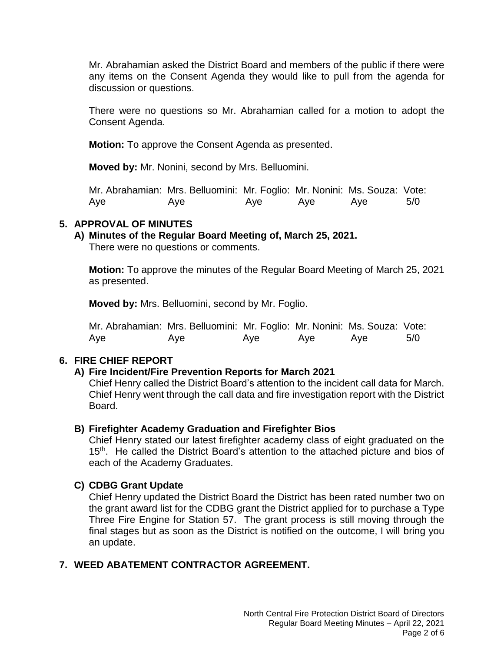Mr. Abrahamian asked the District Board and members of the public if there were any items on the Consent Agenda they would like to pull from the agenda for discussion or questions.

There were no questions so Mr. Abrahamian called for a motion to adopt the Consent Agenda.

**Motion:** To approve the Consent Agenda as presented.

**Moved by:** Mr. Nonini, second by Mrs. Belluomini.

Mr. Abrahamian: Mrs. Belluomini: Mr. Foglio: Mr. Nonini: Ms. Souza: Vote: Aye Aye Aye Aye Aye 5/0

# **5. APPROVAL OF MINUTES**

**A) Minutes of the Regular Board Meeting of, March 25, 2021.**

There were no questions or comments.

**Motion:** To approve the minutes of the Regular Board Meeting of March 25, 2021 as presented.

**Moved by:** Mrs. Belluomini, second by Mr. Foglio.

Mr. Abrahamian: Mrs. Belluomini: Mr. Foglio: Mr. Nonini: Ms. Souza: Vote: Aye Aye Aye Aye Aye 5/0

# **6. FIRE CHIEF REPORT**

# **A) Fire Incident/Fire Prevention Reports for March 2021**

Chief Henry called the District Board's attention to the incident call data for March. Chief Henry went through the call data and fire investigation report with the District Board.

# **B) Firefighter Academy Graduation and Firefighter Bios**

Chief Henry stated our latest firefighter academy class of eight graduated on the 15<sup>th</sup>. He called the District Board's attention to the attached picture and bios of each of the Academy Graduates.

# **C) CDBG Grant Update**

Chief Henry updated the District Board the District has been rated number two on the grant award list for the CDBG grant the District applied for to purchase a Type Three Fire Engine for Station 57. The grant process is still moving through the final stages but as soon as the District is notified on the outcome, I will bring you an update.

# **7. WEED ABATEMENT CONTRACTOR AGREEMENT.**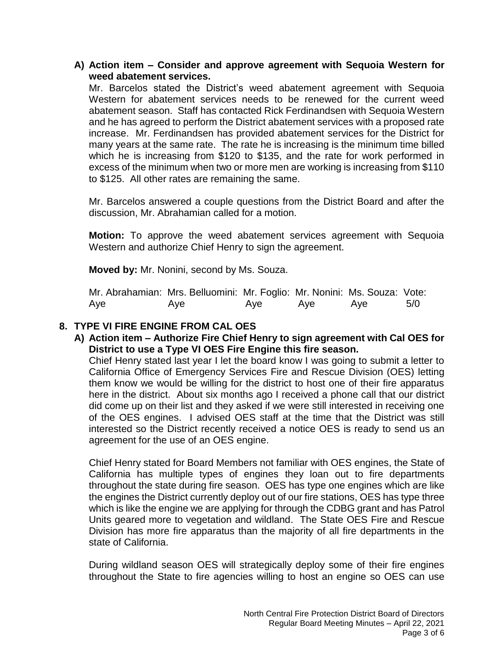# **A) Action item – Consider and approve agreement with Sequoia Western for weed abatement services.**

Mr. Barcelos stated the District's weed abatement agreement with Sequoia Western for abatement services needs to be renewed for the current weed abatement season. Staff has contacted Rick Ferdinandsen with Sequoia Western and he has agreed to perform the District abatement services with a proposed rate increase. Mr. Ferdinandsen has provided abatement services for the District for many years at the same rate. The rate he is increasing is the minimum time billed which he is increasing from \$120 to \$135, and the rate for work performed in excess of the minimum when two or more men are working is increasing from \$110 to \$125. All other rates are remaining the same.

Mr. Barcelos answered a couple questions from the District Board and after the discussion, Mr. Abrahamian called for a motion.

**Motion:** To approve the weed abatement services agreement with Sequoia Western and authorize Chief Henry to sign the agreement.

**Moved by:** Mr. Nonini, second by Ms. Souza.

| Mr. Abrahamian: Mrs. Belluomini: Mr. Foglio: Mr. Nonini: Ms. Souza: Vote: |     |     |     |     |     |
|---------------------------------------------------------------------------|-----|-----|-----|-----|-----|
| Aye                                                                       | Aye | Aye | Ave | Ave | 5/0 |

# **8. TYPE VI FIRE ENGINE FROM CAL OES**

**A) Action item – Authorize Fire Chief Henry to sign agreement with Cal OES for District to use a Type VI OES Fire Engine this fire season.**

Chief Henry stated last year I let the board know I was going to submit a letter to California Office of Emergency Services Fire and Rescue Division (OES) letting them know we would be willing for the district to host one of their fire apparatus here in the district. About six months ago I received a phone call that our district did come up on their list and they asked if we were still interested in receiving one of the OES engines. I advised OES staff at the time that the District was still interested so the District recently received a notice OES is ready to send us an agreement for the use of an OES engine.

Chief Henry stated for Board Members not familiar with OES engines, the State of California has multiple types of engines they loan out to fire departments throughout the state during fire season. OES has type one engines which are like the engines the District currently deploy out of our fire stations, OES has type three which is like the engine we are applying for through the CDBG grant and has Patrol Units geared more to vegetation and wildland. The State OES Fire and Rescue Division has more fire apparatus than the majority of all fire departments in the state of California.

During wildland season OES will strategically deploy some of their fire engines throughout the State to fire agencies willing to host an engine so OES can use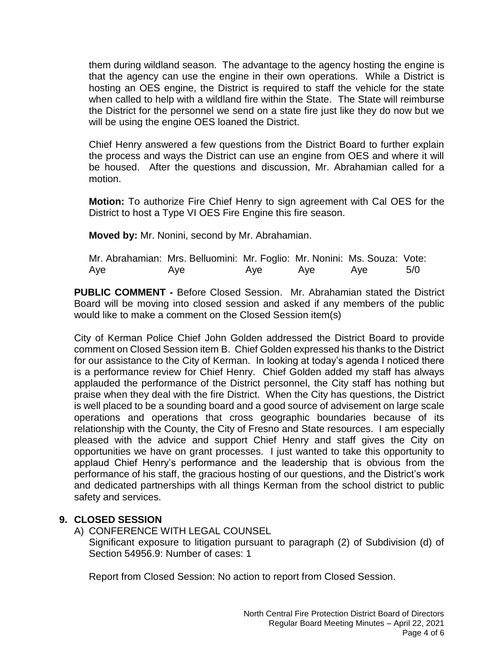them during wildland season. The advantage to the agency hosting the engine is that the agency can use the engine in their own operations. While a District is hosting an OES engine, the District is required to staff the vehicle for the state when called to help with a wildland fire within the State. The State will reimburse the District for the personnel we send on a state fire just like they do now but we will be using the engine OES loaned the District.

Chief Henry answered a few questions from the District Board to further explain the process and ways the District can use an engine from OES and where it will be housed. After the questions and discussion, Mr. Abrahamian called for a motion.

**Motion:** To authorize Fire Chief Henry to sign agreement with Cal OES for the District to host a Type VI OES Fire Engine this fire season.

**Moved by:** Mr. Nonini, second by Mr. Abrahamian.

| Mr. Abrahamian: Mrs. Belluomini: Mr. Foglio: Mr. Nonini: Ms. Souza: Vote: |     |     |     |     |     |
|---------------------------------------------------------------------------|-----|-----|-----|-----|-----|
| Aye                                                                       | Aye | Aye | Ave | Ave | 5/0 |

**PUBLIC COMMENT -** Before Closed Session. Mr. Abrahamian stated the District Board will be moving into closed session and asked if any members of the public would like to make a comment on the Closed Session item(s)

City of Kerman Police Chief John Golden addressed the District Board to provide comment on Closed Session item B. Chief Golden expressed his thanks to the District for our assistance to the City of Kerman. In looking at today's agenda I noticed there is a performance review for Chief Henry. Chief Golden added my staff has always applauded the performance of the District personnel, the City staff has nothing but praise when they deal with the fire District. When the City has questions, the District is well placed to be a sounding board and a good source of advisement on large scale operations and operations that cross geographic boundaries because of its relationship with the County, the City of Fresno and State resources. I am especially pleased with the advice and support Chief Henry and staff gives the City on opportunities we have on grant processes. I just wanted to take this opportunity to applaud Chief Henry's performance and the leadership that is obvious from the performance of his staff, the gracious hosting of our questions, and the District's work and dedicated partnerships with all things Kerman from the school district to public safety and services.

# **9. CLOSED SESSION**

A) CONFERENCE WITH LEGAL COUNSEL

Significant exposure to litigation pursuant to paragraph (2) of Subdivision (d) of Section 54956.9: Number of cases: 1

Report from Closed Session: No action to report from Closed Session.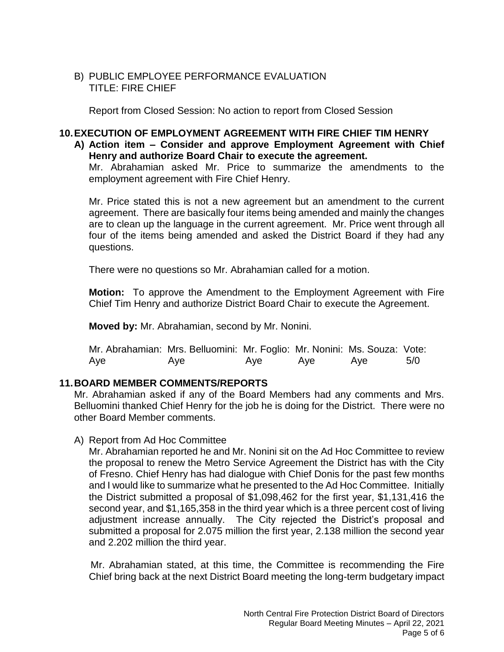# B) PUBLIC EMPLOYEE PERFORMANCE EVALUATION TITLE: FIRE CHIEF

Report from Closed Session: No action to report from Closed Session

# **10.EXECUTION OF EMPLOYMENT AGREEMENT WITH FIRE CHIEF TIM HENRY**

# **A) Action item – Consider and approve Employment Agreement with Chief Henry and authorize Board Chair to execute the agreement.**

Mr. Abrahamian asked Mr. Price to summarize the amendments to the employment agreement with Fire Chief Henry.

Mr. Price stated this is not a new agreement but an amendment to the current agreement. There are basically four items being amended and mainly the changes are to clean up the language in the current agreement. Mr. Price went through all four of the items being amended and asked the District Board if they had any questions.

There were no questions so Mr. Abrahamian called for a motion.

**Motion:** To approve the Amendment to the Employment Agreement with Fire Chief Tim Henry and authorize District Board Chair to execute the Agreement.

**Moved by:** Mr. Abrahamian, second by Mr. Nonini.

| Mr. Abrahamian: Mrs. Belluomini: Mr. Foglio: Mr. Nonini: Ms. Souza: Vote: |     |     |     |     |     |
|---------------------------------------------------------------------------|-----|-----|-----|-----|-----|
| Aye                                                                       | Aye | Aye | Aye | Ave | 5/0 |

# **11.BOARD MEMBER COMMENTS/REPORTS**

Mr. Abrahamian asked if any of the Board Members had any comments and Mrs. Belluomini thanked Chief Henry for the job he is doing for the District. There were no other Board Member comments.

A) Report from Ad Hoc Committee

Mr. Abrahamian reported he and Mr. Nonini sit on the Ad Hoc Committee to review the proposal to renew the Metro Service Agreement the District has with the City of Fresno. Chief Henry has had dialogue with Chief Donis for the past few months and I would like to summarize what he presented to the Ad Hoc Committee. Initially the District submitted a proposal of \$1,098,462 for the first year, \$1,131,416 the second year, and \$1,165,358 in the third year which is a three percent cost of living adjustment increase annually. The City rejected the District's proposal and submitted a proposal for 2.075 million the first year, 2.138 million the second year and 2.202 million the third year.

 Mr. Abrahamian stated, at this time, the Committee is recommending the Fire Chief bring back at the next District Board meeting the long-term budgetary impact